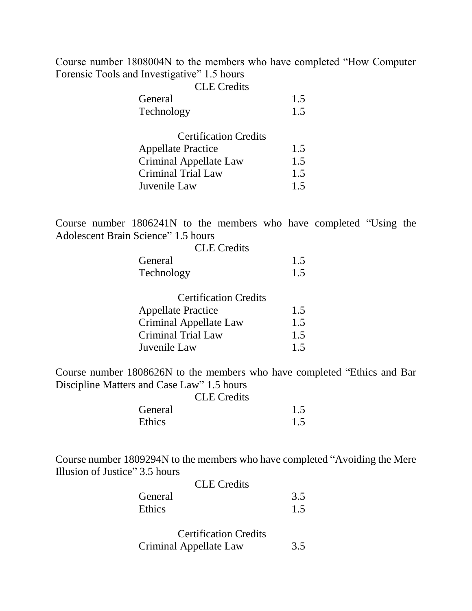Course number 1808004N to the members who have completed "How Computer Forensic Tools and Investigative" 1.5 hours

| <b>CLE</b> Credits |     |
|--------------------|-----|
| General            | 1.5 |
| Technology         | 1.5 |

| <b>Certification Credits</b> |     |
|------------------------------|-----|
| <b>Appellate Practice</b>    | 1.5 |
| Criminal Appellate Law       | 1.5 |
| Criminal Trial Law           | 1.5 |
| Juvenile Law                 | 1.5 |
|                              |     |

Course number 1806241N to the members who have completed "Using the Adolescent Brain Science" 1.5 hours

| <b>CLE</b> Credits |     |
|--------------------|-----|
| General            | 1.5 |
| Technology         | 15  |

| <b>Certification Credits</b> |     |
|------------------------------|-----|
| <b>Appellate Practice</b>    | 1.5 |
| Criminal Appellate Law       | 1.5 |
| Criminal Trial Law           | 1.5 |
| Juvenile Law                 | 1.5 |

Course number 1808626N to the members who have completed "Ethics and Bar Discipline Matters and Case Law" 1.5 hours

|         | <b>CLE</b> Credits |     |
|---------|--------------------|-----|
| General |                    | 1.5 |
| Ethics  |                    | 1.5 |

Course number 1809294N to the members who have completed "Avoiding the Mere Illusion of Justice" 3.5 hours

| 3.5 |
|-----|
| 1.5 |
|     |

| <b>Certification Credits</b> |     |
|------------------------------|-----|
| Criminal Appellate Law       | 3.5 |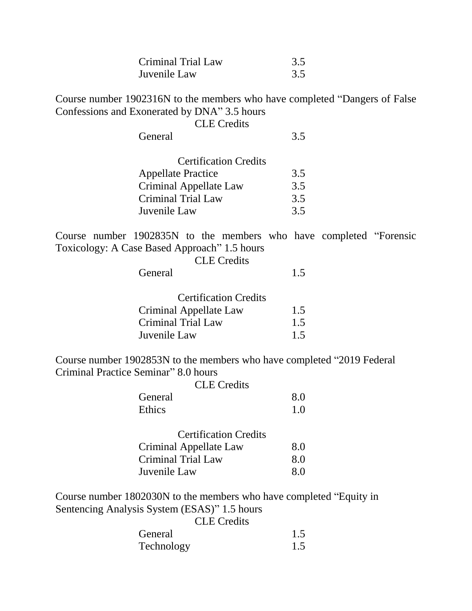| Criminal Trial Law | 3.5 |
|--------------------|-----|
| Juvenile Law       | 3.5 |

Course number 1902316N to the members who have completed "Dangers of False Confessions and Exonerated by DNA" 3.5 hours

|  | <b>CLE</b> Credits |
|--|--------------------|
|--|--------------------|

General 3.5

| <b>Certification Credits</b> |     |
|------------------------------|-----|
| <b>Appellate Practice</b>    | 3.5 |
| Criminal Appellate Law       | 3.5 |
| Criminal Trial Law           | 3.5 |
| Juvenile Law                 | 3.5 |
|                              |     |

Course number 1902835N to the members who have completed "Forensic Toxicology: A Case Based Approach" 1.5 hours  $CI E C_{radite}$ 

|         | ULE URTIS |  |
|---------|-----------|--|
| General |           |  |

| 1.5 |
|-----|
| 1.5 |
| 1.5 |
|     |

Course number 1902853N to the members who have completed "2019 Federal Criminal Practice Seminar" 8.0 hours

|         | <b>CLE</b> Credits |     |
|---------|--------------------|-----|
| General |                    | 8.0 |
| Ethics  |                    | 1.0 |

| <b>Certification Credits</b> |     |
|------------------------------|-----|
| Criminal Appellate Law       | 8.0 |
| Criminal Trial Law           | 8.0 |
| Juvenile Law                 | 8.0 |

Course number 1802030N to the members who have completed "Equity in Sentencing Analysis System (ESAS)" 1.5 hours

CLE Credits

| General    | 1.5 |
|------------|-----|
| Technology | 1.5 |